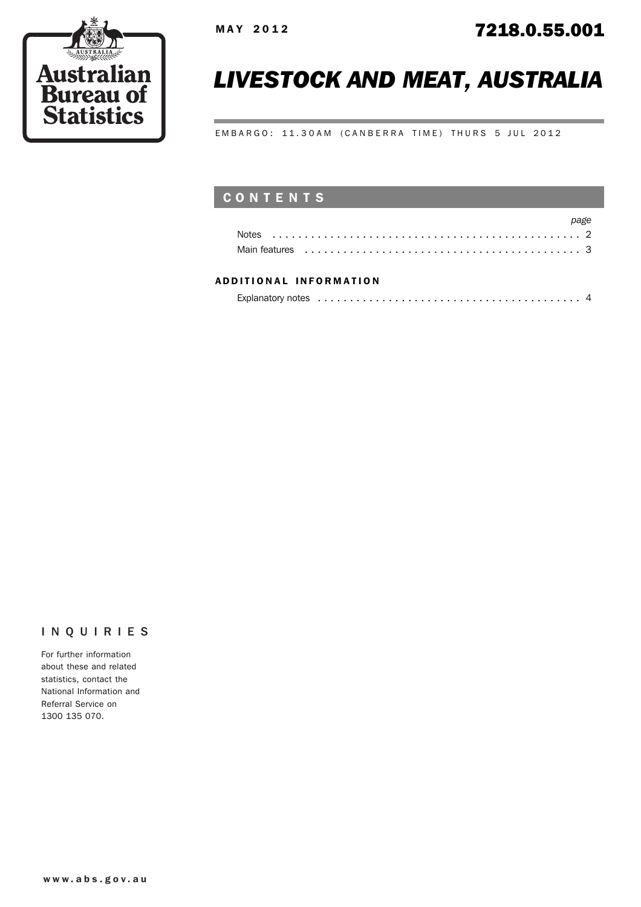

# *LIVESTOCK AND MEAT, AUSTRALIA*

EMBARGO: 11.30AM (CANBERRA TIME) THURS 5 JUL 2012

## CONTENTS

|                                                                                                                                                                                                                                | page |
|--------------------------------------------------------------------------------------------------------------------------------------------------------------------------------------------------------------------------------|------|
|                                                                                                                                                                                                                                |      |
| Main features experience in the contract of the contract of the contract of the contract of the contract of the contract of the contract of the contract of the contract of the contract of the contract of the contract of th |      |

#### ADD ITIONAL INFORMATION

| Explanatory notes experience in the contract of the contract of the contract of the contract of the contract of the contract of the contract of the contract of the contract of the contract of the contract of the contract o |  |
|--------------------------------------------------------------------------------------------------------------------------------------------------------------------------------------------------------------------------------|--|
|                                                                                                                                                                                                                                |  |

### INQUIRIES

For further information about these and related statistics, contact the National Information and Referral Service on 1300 135 070.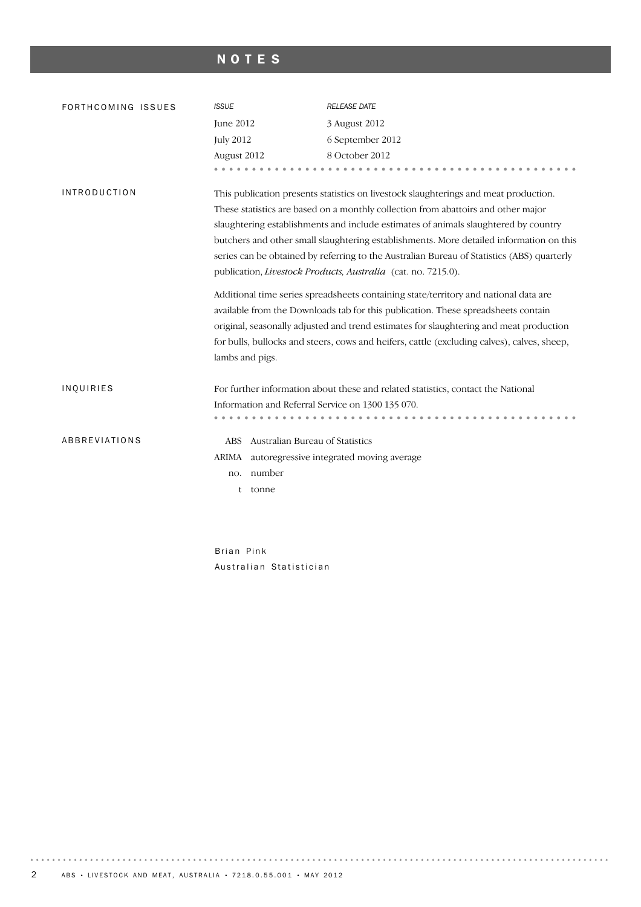## NOTES

| FORTHCOMING ISSUES  | <b>ISSUE</b>                                                                                                                                                                                                                                                                                                                                                                                                                                                                                                                                                                                                                                                                                                                                                                                                                                                                                                        | <b>RELEASE DATE</b>                                                              |  |
|---------------------|---------------------------------------------------------------------------------------------------------------------------------------------------------------------------------------------------------------------------------------------------------------------------------------------------------------------------------------------------------------------------------------------------------------------------------------------------------------------------------------------------------------------------------------------------------------------------------------------------------------------------------------------------------------------------------------------------------------------------------------------------------------------------------------------------------------------------------------------------------------------------------------------------------------------|----------------------------------------------------------------------------------|--|
|                     | June 2012                                                                                                                                                                                                                                                                                                                                                                                                                                                                                                                                                                                                                                                                                                                                                                                                                                                                                                           | 3 August 2012                                                                    |  |
|                     | <b>July 2012</b>                                                                                                                                                                                                                                                                                                                                                                                                                                                                                                                                                                                                                                                                                                                                                                                                                                                                                                    | 6 September 2012                                                                 |  |
|                     | August 2012                                                                                                                                                                                                                                                                                                                                                                                                                                                                                                                                                                                                                                                                                                                                                                                                                                                                                                         | 8 October 2012                                                                   |  |
|                     |                                                                                                                                                                                                                                                                                                                                                                                                                                                                                                                                                                                                                                                                                                                                                                                                                                                                                                                     |                                                                                  |  |
| <b>INTRODUCTION</b> | This publication presents statistics on livestock slaughterings and meat production.<br>These statistics are based on a monthly collection from abattoirs and other major<br>slaughtering establishments and include estimates of animals slaughtered by country<br>butchers and other small slaughtering establishments. More detailed information on this<br>series can be obtained by referring to the Australian Bureau of Statistics (ABS) quarterly<br>publication, Livestock Products, Australia (cat. no. 7215.0).<br>Additional time series spreadsheets containing state/territory and national data are<br>available from the Downloads tab for this publication. These spreadsheets contain<br>original, seasonally adjusted and trend estimates for slaughtering and meat production<br>for bulls, bullocks and steers, cows and heifers, cattle (excluding calves), calves, sheep,<br>lambs and pigs. |                                                                                  |  |
| INQUIRIES           |                                                                                                                                                                                                                                                                                                                                                                                                                                                                                                                                                                                                                                                                                                                                                                                                                                                                                                                     |                                                                                  |  |
|                     |                                                                                                                                                                                                                                                                                                                                                                                                                                                                                                                                                                                                                                                                                                                                                                                                                                                                                                                     | For further information about these and related statistics, contact the National |  |
|                     | Information and Referral Service on 1300 135 070.                                                                                                                                                                                                                                                                                                                                                                                                                                                                                                                                                                                                                                                                                                                                                                                                                                                                   |                                                                                  |  |
|                     |                                                                                                                                                                                                                                                                                                                                                                                                                                                                                                                                                                                                                                                                                                                                                                                                                                                                                                                     |                                                                                  |  |
| ABBREVIATIONS       | Australian Bureau of Statistics<br><b>ABS</b>                                                                                                                                                                                                                                                                                                                                                                                                                                                                                                                                                                                                                                                                                                                                                                                                                                                                       |                                                                                  |  |
|                     | ARIMA autoregressive integrated moving average                                                                                                                                                                                                                                                                                                                                                                                                                                                                                                                                                                                                                                                                                                                                                                                                                                                                      |                                                                                  |  |
|                     | number<br>no.                                                                                                                                                                                                                                                                                                                                                                                                                                                                                                                                                                                                                                                                                                                                                                                                                                                                                                       |                                                                                  |  |
|                     | tonne<br>t                                                                                                                                                                                                                                                                                                                                                                                                                                                                                                                                                                                                                                                                                                                                                                                                                                                                                                          |                                                                                  |  |
|                     |                                                                                                                                                                                                                                                                                                                                                                                                                                                                                                                                                                                                                                                                                                                                                                                                                                                                                                                     |                                                                                  |  |

Brian Pink Australian Statistician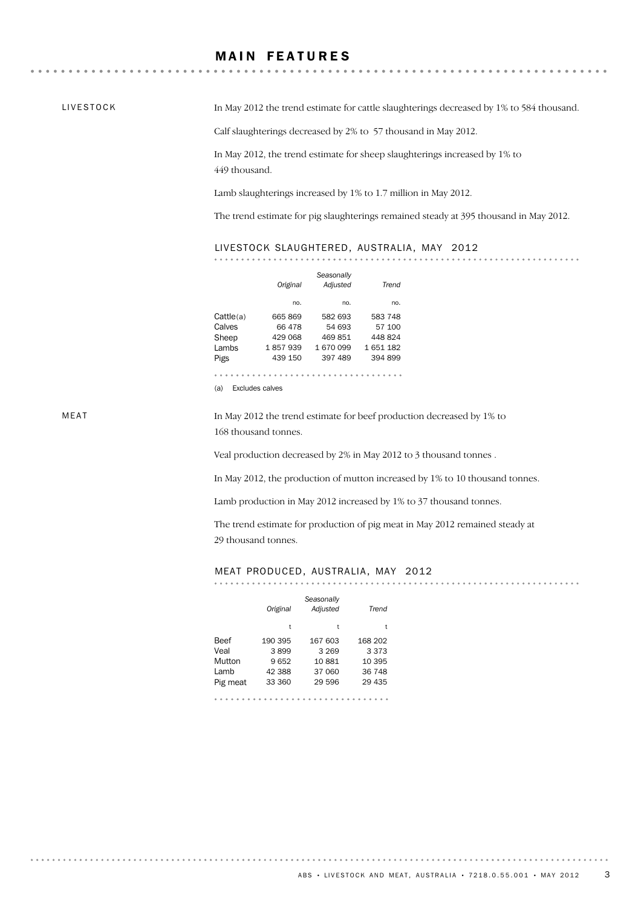### **MAIN FEATURES**

LIVESTOCK

. . . . . . . . . . .

In May 2012 the trend estimate for cattle slaughterings decreased by 1% to 584 thousand.

Calf slaughterings decreased by 2% to 57 thousand in May 2012.

In May 2012, the trend estimate for sheep slaughterings increased by 1% to 449 thousand.

Lamb slaughterings increased by 1% to 1.7 million in May 2012.

The trend estimate for pig slaughterings remained steady at 395 thousand in May 2012.

. . . . . . . . .

#### LIVESTOCK SLAUGHTERED, AUSTRALIA, MAY 2012

|           | Original        | Seasonally<br>Adjusted | Trend   |
|-----------|-----------------|------------------------|---------|
|           | no.             | no.                    | no.     |
| Cattle(a) | 665 869         | 582 693                | 583 748 |
| Calves    | 66 478          | 54 693                 | 57 100  |
| Sheep     | 429 068         | 469851                 | 448824  |
| Lambs     | 1857939         | 1670099                | 1651182 |
| Pigs      | 439 150         | 397 489                | 394 899 |
|           |                 |                        |         |
| (a)       | Eveludge ealyge |                        |         |

(a) Excludes calves

MEAT

. . . . . . . . . . . .

In May 2012 the trend estimate for beef production decreased by 1% to 168 thousand tonnes.

Veal production decreased by 2% in May 2012 to 3 thousand tonnes .

In May 2012, the production of mutton increased by 1% to 10 thousand tonnes.

Lamb production in May 2012 increased by 1% to 37 thousand tonnes.

The trend estimate for production of pig meat in May 2012 remained steady at 29 thousand tonnes.

#### MEAT PRODUCED, AUSTRALIA, MAY 2012

|          | Original | Seasonally<br>Adjusted | Trend   |
|----------|----------|------------------------|---------|
|          | t        | t                      | t       |
| Beef     | 190 395  | 167 603                | 168 202 |
| Veal     | 3899     | 3 2 6 9                | 3 3 7 3 |
| Mutton   | 9652     | 10881                  | 10 395  |
| l amb    | 42 388   | 37 060                 | 36 748  |
| Pig meat | 33 360   | 29 596                 | 29 435  |
|          |          |                        |         |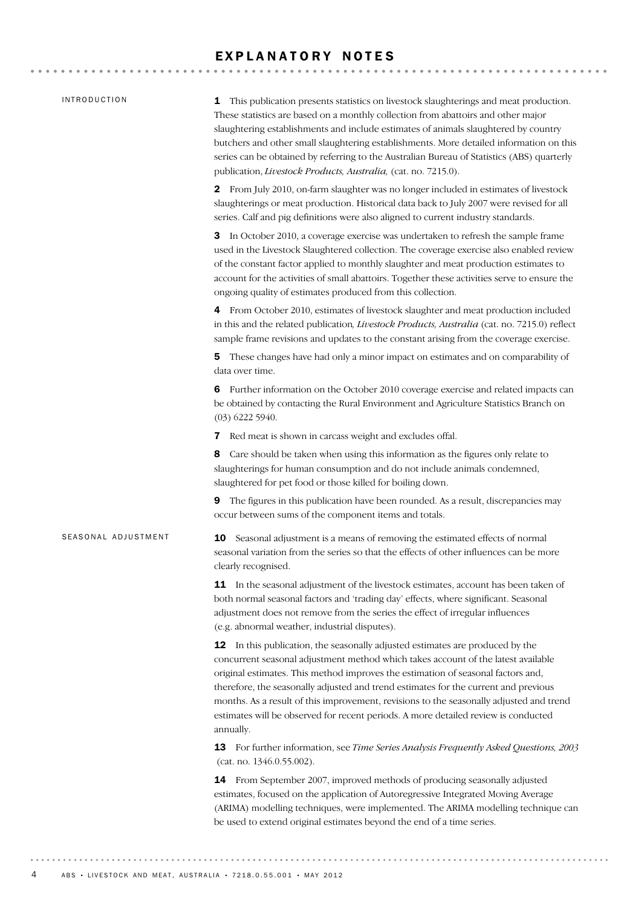#### EXPLANATORY NOTES

#### INTRODUCTION

SEASONAL ADJUSTMENT

1 This publication presents statistics on livestock slaughterings and meat production. These statistics are based on a monthly collection from abattoirs and other major slaughtering establishments and include estimates of animals slaughtered by country butchers and other small slaughtering establishments. More detailed information on this series can be obtained by referring to the Australian Bureau of Statistics (ABS) quarterly publication, *Livestock Products, Australia,* (cat. no. 7215.0).

2 From July 2010, on-farm slaughter was no longer included in estimates of livestock slaughterings or meat production. Historical data back to July 2007 were revised for all series. Calf and pig definitions were also aligned to current industry standards.

3 In October 2010, a coverage exercise was undertaken to refresh the sample frame used in the Livestock Slaughtered collection. The coverage exercise also enabled review of the constant factor applied to monthly slaughter and meat production estimates to account for the activities of small abattoirs. Together these activities serve to ensure the ongoing quality of estimates produced from this collection.

4 From October 2010, estimates of livestock slaughter and meat production included in this and the related publication*, Livestock Products, Australia* (cat. no. 7215.0) reflect sample frame revisions and updates to the constant arising from the coverage exercise.

5 These changes have had only a minor impact on estimates and on comparability of data over time.

6 Further information on the October 2010 coverage exercise and related impacts can be obtained by contacting the Rural Environment and Agriculture Statistics Branch on (03) 6222 5940.

7 Red meat is shown in carcass weight and excludes offal.

8 Care should be taken when using this information as the figures only relate to slaughterings for human consumption and do not include animals condemned, slaughtered for pet food or those killed for boiling down.

9 The figures in this publication have been rounded. As a result, discrepancies may occur between sums of the component items and totals.

**10** Seasonal adjustment is a means of removing the estimated effects of normal seasonal variation from the series so that the effects of other influences can be more clearly recognised.

**11** In the seasonal adjustment of the livestock estimates, account has been taken of both normal seasonal factors and 'trading day' effects, where significant. Seasonal adjustment does not remove from the series the effect of irregular influences (e.g. abnormal weather, industrial disputes).

12 In this publication, the seasonally adjusted estimates are produced by the concurrent seasonal adjustment method which takes account of the latest available original estimates. This method improves the estimation of seasonal factors and, therefore, the seasonally adjusted and trend estimates for the current and previous months. As a result of this improvement, revisions to the seasonally adjusted and trend estimates will be observed for recent periods. A more detailed review is conducted annually.

13 For further information, see *Time Series Analysis Frequently Asked Questions, 2003* (cat. no. 1346.0.55.002).

14 From September 2007, improved methods of producing seasonally adjusted estimates, focused on the application of Autoregressive Integrated Moving Average (ARIMA) modelling techniques, were implemented. The ARIMA modelling technique can be used to extend original estimates beyond the end of a time series.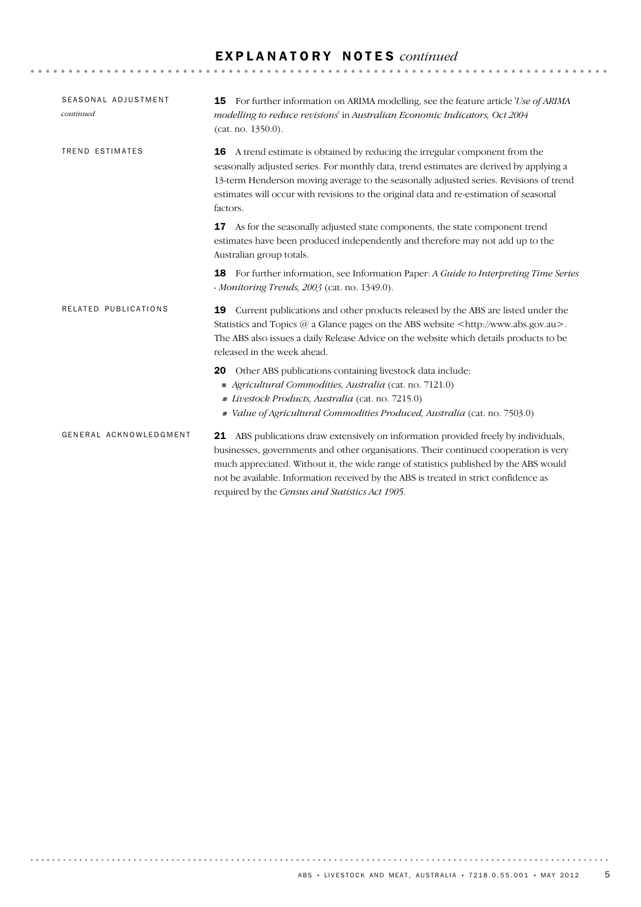## E X P L A N A T O R Y N O T E S *continued*

| SEASONAL ADJUSTMENT<br>continued | <b>15</b> For further information on ARIMA modelling, see the feature article 'Use of ARIMA<br>modelling to reduce revisions' in Australian Economic Indicators, Oct 2004<br>(cat. no. 1350.0).                                                                                                                                                                                                                 |  |
|----------------------------------|-----------------------------------------------------------------------------------------------------------------------------------------------------------------------------------------------------------------------------------------------------------------------------------------------------------------------------------------------------------------------------------------------------------------|--|
| TREND ESTIMATES                  | A trend estimate is obtained by reducing the irregular component from the<br>16<br>seasonally adjusted series. For monthly data, trend estimates are derived by applying a<br>13-term Henderson moving average to the seasonally adjusted series. Revisions of trend<br>estimates will occur with revisions to the original data and re-estimation of seasonal<br>factors.                                      |  |
|                                  | As for the seasonally adjusted state components, the state component trend<br>17<br>estimates have been produced independently and therefore may not add up to the<br>Australian group totals.                                                                                                                                                                                                                  |  |
|                                  | For further information, see Information Paper: A Guide to Interpreting Time Series<br>18<br>- Monitoring Trends, 2003 (cat. no. 1349.0).                                                                                                                                                                                                                                                                       |  |
| RELATED PUBLICATIONS             | Current publications and other products released by the ABS are listed under the<br>19<br>Statistics and Topics @ a Glance pages on the ABS website <http: www.abs.gov.au="">.<br/>The ABS also issues a daily Release Advice on the website which details products to be<br/>released in the week ahead.</http:>                                                                                               |  |
|                                  | Other ABS publications containing livestock data include:<br>20<br>Agricultural Commodities, Australia (cat. no. 7121.0)<br>Livestock Products, Australia (cat. no. 7215.0)<br>Value of Agricultural Commodities Produced, Australia (cat. no. 7503.0)                                                                                                                                                          |  |
| GENERAL ACKNOWLEDGMENT           | 21 ABS publications draw extensively on information provided freely by individuals,<br>businesses, governments and other organisations. Their continued cooperation is very<br>much appreciated. Without it, the wide range of statistics published by the ABS would<br>not be available. Information received by the ABS is treated in strict confidence as<br>required by the Census and Statistics Act 1905. |  |